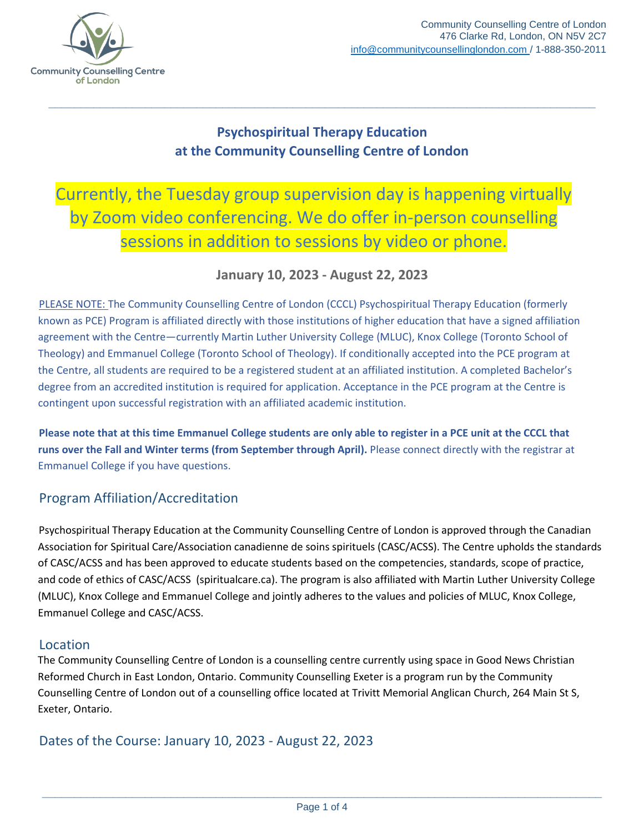

# **Psychospiritual Therapy Education at the Community Counselling Centre of London**

**\_\_\_\_\_\_\_\_\_\_\_\_\_\_\_\_\_\_\_\_\_\_\_\_\_\_\_\_\_\_\_\_\_\_\_\_\_\_\_\_\_\_\_\_\_\_\_\_\_\_\_\_\_\_\_\_\_\_\_\_\_\_\_\_\_\_\_\_\_\_\_\_\_\_\_\_\_\_\_\_\_\_\_\_\_**

Currently, the Tuesday group supervision day is happening virtually by Zoom video conferencing. We do offer in-person counselling sessions in addition to sessions by video or phone.

## **January 10, 2023 - August 22, 2023**

PLEASE NOTE: The Community Counselling Centre of London (CCCL) Psychospiritual Therapy Education (formerly known as PCE) Program is affiliated directly with those institutions of higher education that have a signed affiliation agreement with the Centre—currently Martin Luther University College (MLUC), Knox College (Toronto School of Theology) and Emmanuel College (Toronto School of Theology). If conditionally accepted into the PCE program at the Centre, all students are required to be a registered student at an affiliated institution. A completed Bachelor's degree from an accredited institution is required for application. Acceptance in the PCE program at the Centre is contingent upon successful registration with an affiliated academic institution.

**Please note that at this time Emmanuel College students are only able to register in a PCE unit at the CCCL that runs over the Fall and Winter terms (from September through April).** Please connect directly with the registrar at Emmanuel College if you have questions.

### Program Affiliation/Accreditation

Psychospiritual Therapy Education at the Community Counselling Centre of London is approved through the Canadian Association for Spiritual Care/Association canadienne de soins spirituels (CASC/ACSS). The Centre upholds the standards of CASC/ACSS and has been approved to educate students based on the competencies, standards, scope of practice, and code of ethics of CASC/ACSS (spiritualcare.ca). The program is also affiliated with Martin Luther University College (MLUC), Knox College and Emmanuel College and jointly adheres to the values and policies of MLUC, Knox College, Emmanuel College and CASC/ACSS.

#### Location

The Community Counselling Centre of London is a counselling centre currently using space in Good News Christian Reformed Church in East London, Ontario. Community Counselling Exeter is a program run by the Community Counselling Centre of London out of a counselling office located at Trivitt Memorial Anglican Church, 264 Main St S, Exeter, Ontario.

Dates of the Course: January 10, 2023 - August 22, 2023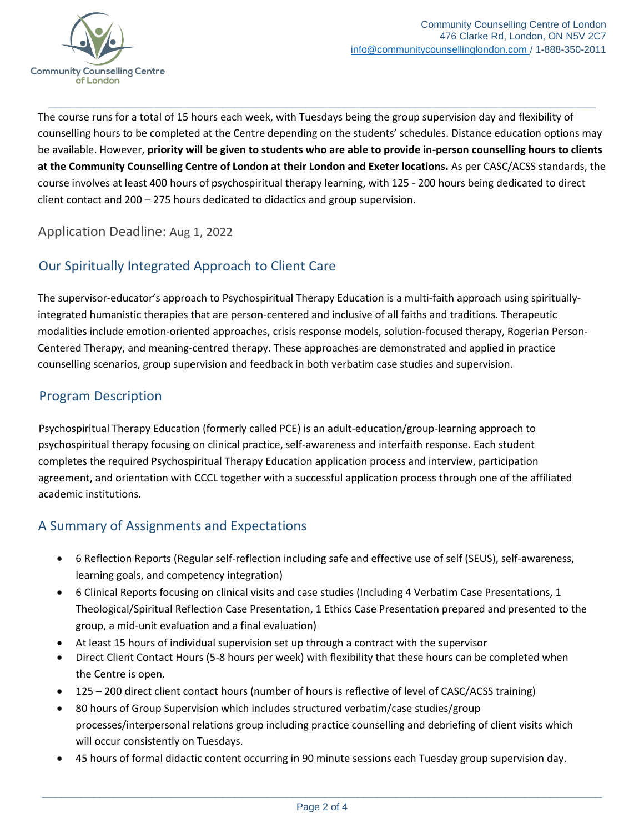

The course runs for a total of 15 hours each week, with Tuesdays being the group supervision day and flexibility of counselling hours to be completed at the Centre depending on the students' schedules. Distance education options may be available. However, **priority will be given to students who are able to provide in-person counselling hours to clients at the Community Counselling Centre of London at their London and Exeter locations.** As per CASC/ACSS standards, the course involves at least 400 hours of psychospiritual therapy learning, with 125 - 200 hours being dedicated to direct client contact and 200 – 275 hours dedicated to didactics and group supervision.

**\_\_\_\_\_\_\_\_\_\_\_\_\_\_\_\_\_\_\_\_\_\_\_\_\_\_\_\_\_\_\_\_\_\_\_\_\_\_\_\_\_\_\_\_\_\_\_\_\_\_\_\_\_\_\_\_\_\_\_\_\_\_\_\_\_\_\_\_\_\_\_\_\_\_\_\_\_\_\_\_\_\_\_\_\_**

Application Deadline: Aug 1, 2022

# Our Spiritually Integrated Approach to Client Care

The supervisor-educator's approach to Psychospiritual Therapy Education is a multi-faith approach using spirituallyintegrated humanistic therapies that are person-centered and inclusive of all faiths and traditions. Therapeutic modalities include emotion-oriented approaches, crisis response models, solution-focused therapy, Rogerian Person-Centered Therapy, and meaning-centred therapy. These approaches are demonstrated and applied in practice counselling scenarios, group supervision and feedback in both verbatim case studies and supervision.

### Program Description

Psychospiritual Therapy Education (formerly called PCE) is an adult-education/group-learning approach to psychospiritual therapy focusing on clinical practice, self-awareness and interfaith response. Each student completes the required Psychospiritual Therapy Education application process and interview, participation agreement, and orientation with CCCL together with a successful application process through one of the affiliated academic institutions.

### A Summary of Assignments and Expectations

- 6 Reflection Reports (Regular self-reflection including safe and effective use of self (SEUS), self-awareness, learning goals, and competency integration)
- 6 Clinical Reports focusing on clinical visits and case studies (Including 4 Verbatim Case Presentations, 1 Theological/Spiritual Reflection Case Presentation, 1 Ethics Case Presentation prepared and presented to the group, a mid-unit evaluation and a final evaluation)
- At least 15 hours of individual supervision set up through a contract with the supervisor
- Direct Client Contact Hours (5-8 hours per week) with flexibility that these hours can be completed when the Centre is open.
- 125 200 direct client contact hours (number of hours is reflective of level of CASC/ACSS training)
- 80 hours of Group Supervision which includes structured verbatim/case studies/group processes/interpersonal relations group including practice counselling and debriefing of client visits which will occur consistently on Tuesdays.
- 45 hours of formal didactic content occurring in 90 minute sessions each Tuesday group supervision day.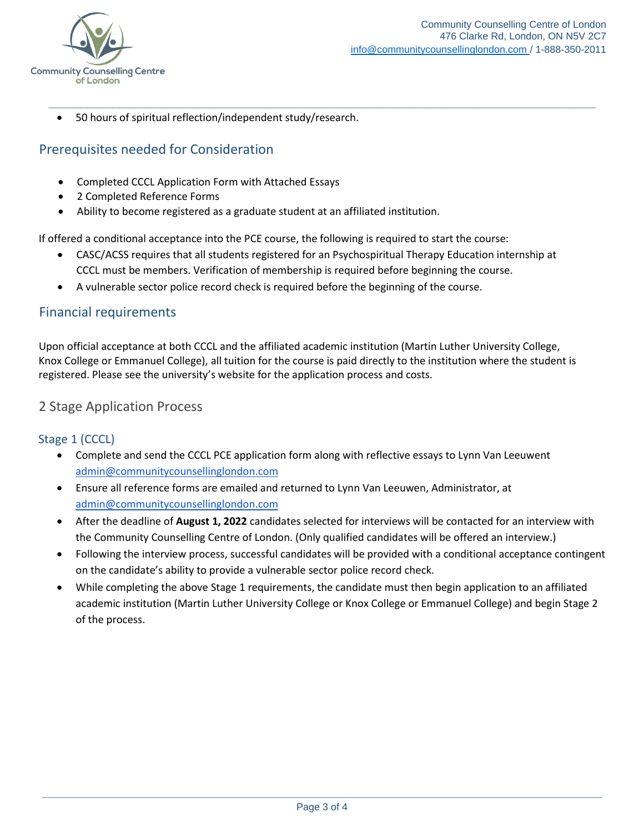

• 50 hours of spiritual reflection/independent study/research.

### Prerequisites needed for Consideration

- Completed CCCL Application Form with Attached Essays
- 2 Completed Reference Forms
- Ability to become registered as a graduate student at an affiliated institution.

If offered a conditional acceptance into the PCE course, the following is required to start the course:

• CASC/ACSS requires that all students registered for an Psychospiritual Therapy Education internship at CCCL must be members. Verification of membership is required before beginning the course.

**\_\_\_\_\_\_\_\_\_\_\_\_\_\_\_\_\_\_\_\_\_\_\_\_\_\_\_\_\_\_\_\_\_\_\_\_\_\_\_\_\_\_\_\_\_\_\_\_\_\_\_\_\_\_\_\_\_\_\_\_\_\_\_\_\_\_\_\_\_\_\_\_\_\_\_\_\_\_\_\_\_\_\_\_\_**

• A vulnerable sector police record check is required before the beginning of the course.

#### Financial requirements

Upon official acceptance at both CCCL and the affiliated academic institution (Martin Luther University College, Knox College or Emmanuel College), all tuition for the course is paid directly to the institution where the student is registered. Please see the university's website for the application process and costs.

#### 2 Stage Application Process

#### Stage 1 (CCCL)

- Complete and send the CCCL PCE application form along with reflective essays to Lynn Van Leeuwent [admin@communitycounsellinglondon.com](mailto:admin@communitycounsellinglondon.com)
- Ensure all reference forms are emailed and returned to Lynn Van Leeuwen, Administrator, at [admin@communitycounsellinglondon.com](mailto:admin@communitycounsellinglondon.com)
- After the deadline of **August 1, 2022** candidates selected for interviews will be contacted for an interview with the Community Counselling Centre of London. (Only qualified candidates will be offered an interview.)
- Following the interview process, successful candidates will be provided with a conditional acceptance contingent on the candidate's ability to provide a vulnerable sector police record check.
- While completing the above Stage 1 requirements, the candidate must then begin application to an affiliated academic institution (Martin Luther University College or Knox College or Emmanuel College) and begin Stage 2 of the process.